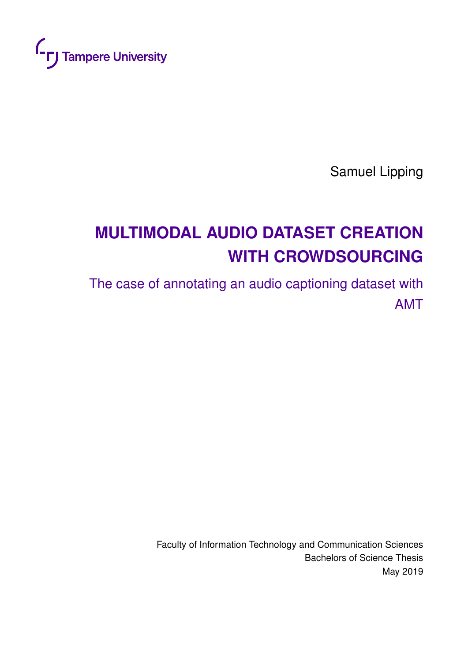<span id="page-0-0"></span>

Samuel Lipping

# **MULTIMODAL AUDIO DATASET CREATION WITH CROWDSOURCING**

The case of annotating an audio captioning dataset with AMT

> Faculty of Information Technology and Communication Sciences Bachelors of Science Thesis May 2019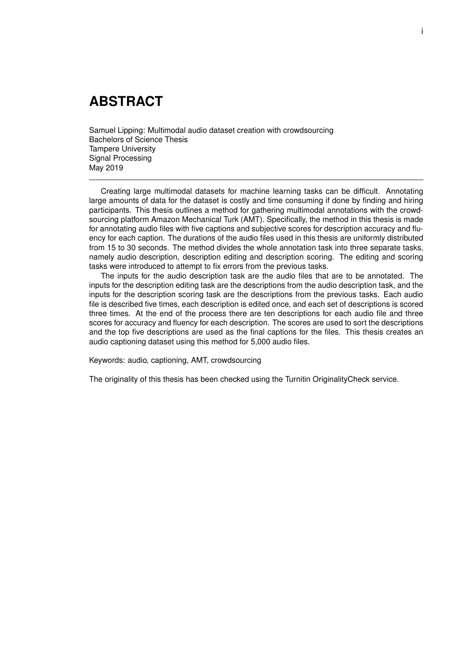### **ABSTRACT**

Samuel Lipping: Multimodal audio dataset creation with crowdsourcing Bachelors of Science Thesis Tampere University Signal Processing May 2019

Creating large multimodal datasets for machine learning tasks can be difficult. Annotating large amounts of data for the dataset is costly and time consuming if done by finding and hiring participants. This thesis outlines a method for gathering multimodal annotations with the crowdsourcing platform Amazon Mechanical Turk (AMT). Specifically, the method in this thesis is made for annotating audio files with five captions and subjective scores for description accuracy and fluency for each caption. The durations of the audio files used in this thesis are uniformly distributed from 15 to 30 seconds. The method divides the whole annotation task into three separate tasks, namely audio description, description editing and description scoring. The editing and scoring tasks were introduced to attempt to fix errors from the previous tasks.

The inputs for the audio description task are the audio files that are to be annotated. The inputs for the description editing task are the descriptions from the audio description task, and the inputs for the description scoring task are the descriptions from the previous tasks. Each audio file is described five times, each description is edited once, and each set of descriptions is scored three times. At the end of the process there are ten descriptions for each audio file and three scores for accuracy and fluency for each description. The scores are used to sort the descriptions and the top five descriptions are used as the final captions for the files. This thesis creates an audio captioning dataset using this method for 5,000 audio files.

Keywords: audio, captioning, AMT, crowdsourcing

The originality of this thesis has been checked using the Turnitin OriginalityCheck service.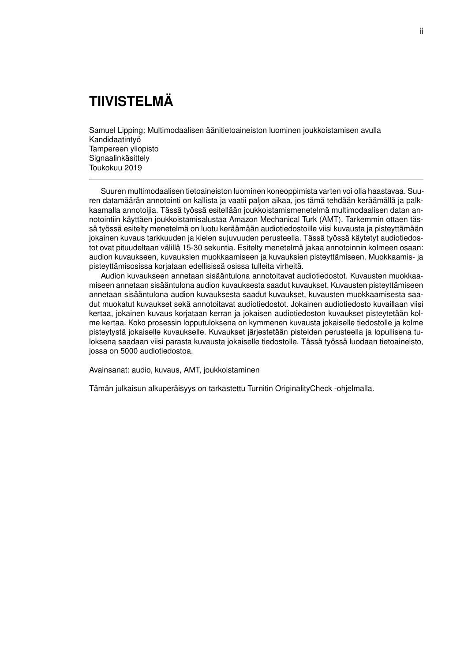## **TIIVISTELMÄ**

Samuel Lipping: Multimodaalisen äänitietoaineiston luominen joukkoistamisen avulla Kandidaatintyö Tampereen yliopisto Signaalinkäsittely Toukokuu 2019

Suuren multimodaalisen tietoaineiston luominen koneoppimista varten voi olla haastavaa. Suuren datamäärän annotointi on kallista ja vaatii paljon aikaa, jos tämä tehdään keräämällä ja palkkaamalla annotoijia. Tässä työssä esitellään joukkoistamismenetelmä multimodaalisen datan annotointiin käyttäen joukkoistamisalustaa Amazon Mechanical Turk (AMT). Tarkemmin ottaen tässä työssä esitelty menetelmä on luotu keräämään audiotiedostoille viisi kuvausta ja pisteyttämään jokainen kuvaus tarkkuuden ja kielen sujuvuuden perusteella. Tässä työssä käytetyt audiotiedostot ovat pituudeltaan välillä 15-30 sekuntia. Esitelty menetelmä jakaa annotoinnin kolmeen osaan: audion kuvaukseen, kuvauksien muokkaamiseen ja kuvauksien pisteyttämiseen. Muokkaamis- ja pisteyttämisosissa korjataan edellisissä osissa tulleita virheitä.

Audion kuvaukseen annetaan sisääntulona annotoitavat audiotiedostot. Kuvausten muokkaamiseen annetaan sisääntulona audion kuvauksesta saadut kuvaukset. Kuvausten pisteyttämiseen annetaan sisääntulona audion kuvauksesta saadut kuvaukset, kuvausten muokkaamisesta saadut muokatut kuvaukset sekä annotoitavat audiotiedostot. Jokainen audiotiedosto kuvaillaan viisi kertaa, jokainen kuvaus korjataan kerran ja jokaisen audiotiedoston kuvaukset pisteytetään kolme kertaa. Koko prosessin lopputuloksena on kymmenen kuvausta jokaiselle tiedostolle ja kolme pisteytystä jokaiselle kuvaukselle. Kuvaukset järjestetään pisteiden perusteella ja lopullisena tuloksena saadaan viisi parasta kuvausta jokaiselle tiedostolle. Tässä työssä luodaan tietoaineisto, jossa on 5000 audiotiedostoa.

Avainsanat: audio, kuvaus, AMT, joukkoistaminen

Tämän julkaisun alkuperäisyys on tarkastettu Turnitin OriginalityCheck -ohjelmalla.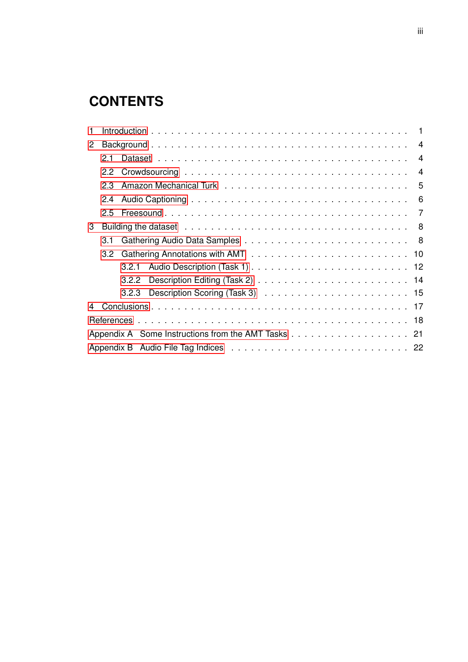## **CONTENTS**

| 1                    |     |   |  |  |                |  |  |  |
|----------------------|-----|---|--|--|----------------|--|--|--|
| $\mathbf{2}^{\circ}$ |     |   |  |  |                |  |  |  |
|                      | 2.1 |   |  |  |                |  |  |  |
|                      |     |   |  |  | $\overline{4}$ |  |  |  |
|                      |     | 5 |  |  |                |  |  |  |
|                      | 2.4 |   |  |  | 6              |  |  |  |
|                      | 2.5 |   |  |  |                |  |  |  |
| 3                    |     |   |  |  |                |  |  |  |
|                      | 3.1 |   |  |  |                |  |  |  |
|                      |     |   |  |  |                |  |  |  |
|                      |     |   |  |  |                |  |  |  |
|                      |     |   |  |  |                |  |  |  |
|                      |     |   |  |  |                |  |  |  |
|                      |     |   |  |  |                |  |  |  |
|                      |     |   |  |  |                |  |  |  |
|                      |     |   |  |  |                |  |  |  |
|                      |     |   |  |  |                |  |  |  |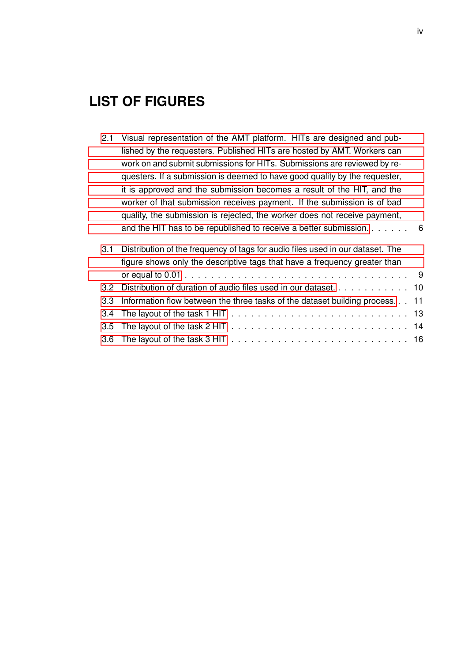## **LIST OF FIGURES**

| 2.1 | Visual representation of the AMT platform. HITs are designed and pub-                                                                                       |
|-----|-------------------------------------------------------------------------------------------------------------------------------------------------------------|
|     | lished by the requesters. Published HITs are hosted by AMT. Workers can                                                                                     |
|     | work on and submit submissions for HITs. Submissions are reviewed by re-                                                                                    |
|     | questers. If a submission is deemed to have good quality by the requester,                                                                                  |
|     | it is approved and the submission becomes a result of the HIT, and the                                                                                      |
|     | worker of that submission receives payment. If the submission is of bad                                                                                     |
|     | quality, the submission is rejected, the worker does not receive payment,                                                                                   |
|     | and the HIT has to be republished to receive a better submission. $\ldots$ 6                                                                                |
| 3.1 | Distribution of the frequency of tags for audio files used in our dataset. The<br>figure shows only the descriptive tags that have a frequency greater than |

| figure shows only the descriptive tags that have a frequency greater than       |  |  |  |  |
|---------------------------------------------------------------------------------|--|--|--|--|
|                                                                                 |  |  |  |  |
| 3.2 Distribution of duration of audio files used in our dataset. 10             |  |  |  |  |
| 3.3 Information flow between the three tasks of the dataset building process 11 |  |  |  |  |
|                                                                                 |  |  |  |  |
|                                                                                 |  |  |  |  |
|                                                                                 |  |  |  |  |
|                                                                                 |  |  |  |  |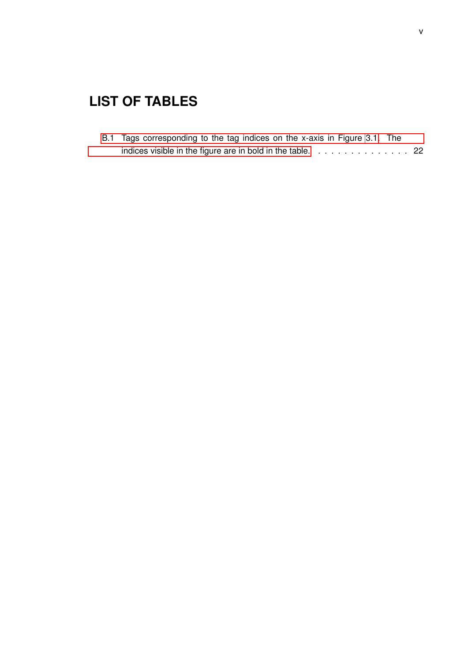## **LIST OF TABLES**

| B.1 Tags corresponding to the tag indices on the x-axis in Figure 3.1. The |  |
|----------------------------------------------------------------------------|--|
| indices visible in the figure are in bold in the table. $\ldots$ , , ,  22 |  |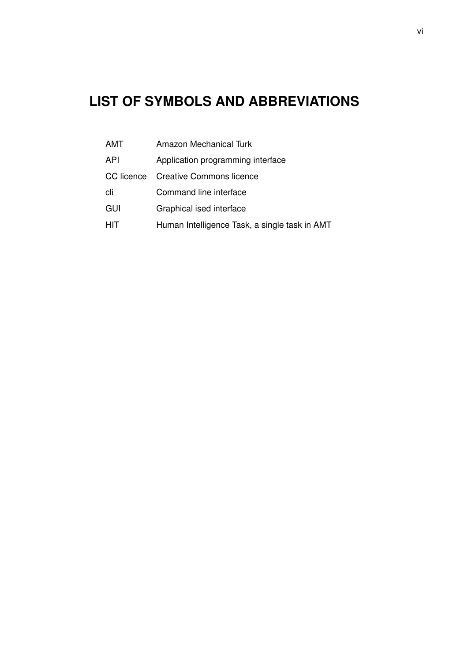## **LIST OF SYMBOLS AND ABBREVIATIONS**

| <b>AMT</b> | Amazon Mechanical Turk                        |
|------------|-----------------------------------------------|
| API        | Application programming interface             |
| CC licence | <b>Creative Commons licence</b>               |
| cli        | Command line interface                        |
| GUI        | Graphical ised interface                      |
| <b>HIT</b> | Human Intelligence Task, a single task in AMT |
|            |                                               |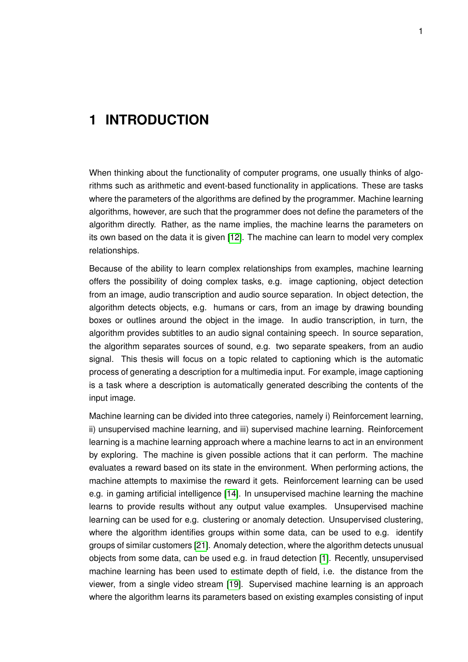### <span id="page-7-0"></span>**1 INTRODUCTION**

When thinking about the functionality of computer programs, one usually thinks of algorithms such as arithmetic and event-based functionality in applications. These are tasks where the parameters of the algorithms are defined by the programmer. Machine learning algorithms, however, are such that the programmer does not define the parameters of the algorithm directly. Rather, as the name implies, the machine learns the parameters on its own based on the data it is given [\[12\]](#page-25-0). The machine can learn to model very complex relationships.

Because of the ability to learn complex relationships from examples, machine learning offers the possibility of doing complex tasks, e.g. image captioning, object detection from an image, audio transcription and audio source separation. In object detection, the algorithm detects objects, e.g. humans or cars, from an image by drawing bounding boxes or outlines around the object in the image. In audio transcription, in turn, the algorithm provides subtitles to an audio signal containing speech. In source separation, the algorithm separates sources of sound, e.g. two separate speakers, from an audio signal. This thesis will focus on a topic related to captioning which is the automatic process of generating a description for a multimedia input. For example, image captioning is a task where a description is automatically generated describing the contents of the input image.

Machine learning can be divided into three categories, namely i) Reinforcement learning, ii) unsupervised machine learning, and iii) supervised machine learning. Reinforcement learning is a machine learning approach where a machine learns to act in an environment by exploring. The machine is given possible actions that it can perform. The machine evaluates a reward based on its state in the environment. When performing actions, the machine attempts to maximise the reward it gets. Reinforcement learning can be used e.g. in gaming artificial intelligence [\[14\]](#page-25-1). In unsupervised machine learning the machine learns to provide results without any output value examples. Unsupervised machine learning can be used for e.g. clustering or anomaly detection. Unsupervised clustering, where the algorithm identifies groups within some data, can be used to e.g. identify groups of similar customers [\[21\]](#page-25-2). Anomaly detection, where the algorithm detects unusual objects from some data, can be used e.g. in fraud detection [\[1\]](#page-24-1). Recently, unsupervised machine learning has been used to estimate depth of field, i.e. the distance from the viewer, from a single video stream [\[19\]](#page-25-3). Supervised machine learning is an approach where the algorithm learns its parameters based on existing examples consisting of input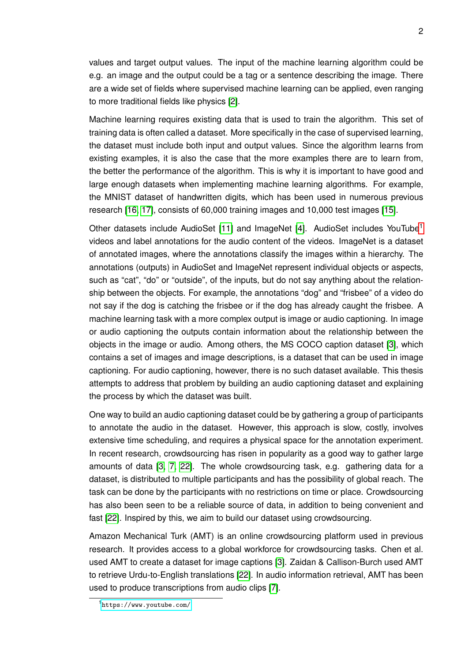values and target output values. The input of the machine learning algorithm could be e.g. an image and the output could be a tag or a sentence describing the image. There are a wide set of fields where supervised machine learning can be applied, even ranging to more traditional fields like physics [\[2\]](#page-24-2).

Machine learning requires existing data that is used to train the algorithm. This set of training data is often called a dataset. More specifically in the case of supervised learning, the dataset must include both input and output values. Since the algorithm learns from existing examples, it is also the case that the more examples there are to learn from, the better the performance of the algorithm. This is why it is important to have good and large enough datasets when implementing machine learning algorithms. For example, the MNIST dataset of handwritten digits, which has been used in numerous previous research [\[16,](#page-25-4) [17\]](#page-25-5), consists of 60,000 training images and 10,000 test images [\[15\]](#page-25-6).

Other datasets include AudioSet [\[11\]](#page-25-7) and ImageNet [\[4\]](#page-24-3). AudioSet includes YouTube[1](#page-0-0) videos and label annotations for the audio content of the videos. ImageNet is a dataset of annotated images, where the annotations classify the images within a hierarchy. The annotations (outputs) in AudioSet and ImageNet represent individual objects or aspects, such as "cat", "do" or "outside", of the inputs, but do not say anything about the relationship between the objects. For example, the annotations "dog" and "frisbee" of a video do not say if the dog is catching the frisbee or if the dog has already caught the frisbee. A machine learning task with a more complex output is image or audio captioning. In image or audio captioning the outputs contain information about the relationship between the objects in the image or audio. Among others, the MS COCO caption dataset [\[3\]](#page-24-4), which contains a set of images and image descriptions, is a dataset that can be used in image captioning. For audio captioning, however, there is no such dataset available. This thesis attempts to address that problem by building an audio captioning dataset and explaining the process by which the dataset was built.

One way to build an audio captioning dataset could be by gathering a group of participants to annotate the audio in the dataset. However, this approach is slow, costly, involves extensive time scheduling, and requires a physical space for the annotation experiment. In recent research, crowdsourcing has risen in popularity as a good way to gather large amounts of data [\[3,](#page-24-4) [7,](#page-24-5) [22\]](#page-25-8). The whole crowdsourcing task, e.g. gathering data for a dataset, is distributed to multiple participants and has the possibility of global reach. The task can be done by the participants with no restrictions on time or place. Crowdsourcing has also been seen to be a reliable source of data, in addition to being convenient and fast [\[22\]](#page-25-8). Inspired by this, we aim to build our dataset using crowdsourcing.

Amazon Mechanical Turk (AMT) is an online crowdsourcing platform used in previous research. It provides access to a global workforce for crowdsourcing tasks. Chen et al. used AMT to create a dataset for image captions [\[3\]](#page-24-4). Zaidan & Callison-Burch used AMT to retrieve Urdu-to-English translations [\[22\]](#page-25-8). In audio information retrieval, AMT has been used to produce transcriptions from audio clips [\[7\]](#page-24-5).

<sup>1</sup> <https://www.youtube.com/>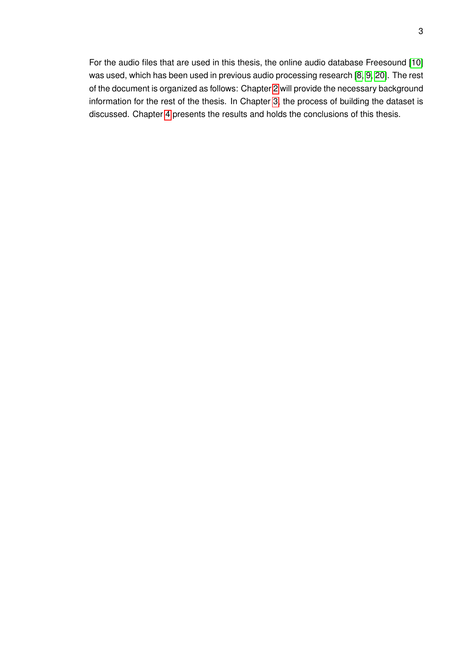For the audio files that are used in this thesis, the online audio database Freesound [\[10\]](#page-24-6) was used, which has been used in previous audio processing research [\[8,](#page-24-7) [9,](#page-24-8) [20\]](#page-25-9). The rest of the document is organized as follows: Chapter [2](#page-10-0) will provide the necessary background information for the rest of the thesis. In Chapter [3,](#page-14-0) the process of building the dataset is discussed. Chapter [4](#page-23-0) presents the results and holds the conclusions of this thesis.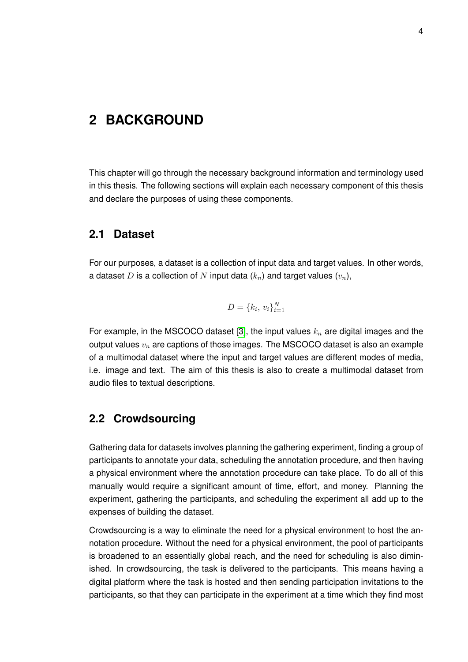### <span id="page-10-0"></span>**2 BACKGROUND**

This chapter will go through the necessary background information and terminology used in this thesis. The following sections will explain each necessary component of this thesis and declare the purposes of using these components.

#### <span id="page-10-1"></span>**2.1 Dataset**

For our purposes, a dataset is a collection of input data and target values. In other words, a dataset D is a collection of N input data  $(k_n)$  and target values  $(v_n)$ ,

$$
D = \{k_i, v_i\}_{i=1}^N
$$

For example, in the MSCOCO dataset [\[3\]](#page-24-4), the input values  $k_n$  are digital images and the output values  $v_n$  are captions of those images. The MSCOCO dataset is also an example of a multimodal dataset where the input and target values are different modes of media, i.e. image and text. The aim of this thesis is also to create a multimodal dataset from audio files to textual descriptions.

#### <span id="page-10-2"></span>**2.2 Crowdsourcing**

Gathering data for datasets involves planning the gathering experiment, finding a group of participants to annotate your data, scheduling the annotation procedure, and then having a physical environment where the annotation procedure can take place. To do all of this manually would require a significant amount of time, effort, and money. Planning the experiment, gathering the participants, and scheduling the experiment all add up to the expenses of building the dataset.

Crowdsourcing is a way to eliminate the need for a physical environment to host the annotation procedure. Without the need for a physical environment, the pool of participants is broadened to an essentially global reach, and the need for scheduling is also diminished. In crowdsourcing, the task is delivered to the participants. This means having a digital platform where the task is hosted and then sending participation invitations to the participants, so that they can participate in the experiment at a time which they find most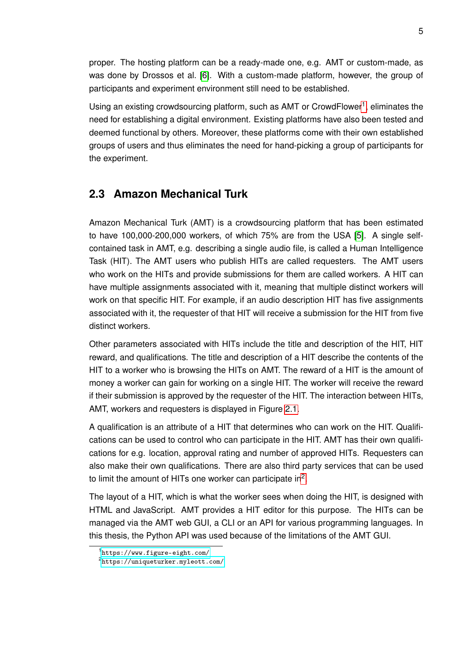proper. The hosting platform can be a ready-made one, e.g. AMT or custom-made, as was done by Drossos et al. [\[6\]](#page-24-9). With a custom-made platform, however, the group of participants and experiment environment still need to be established.

Using an existing crowdsourcing platform, such as AMT or CrowdFlower<sup>[1](#page-0-0)</sup>, eliminates the need for establishing a digital environment. Existing platforms have also been tested and deemed functional by others. Moreover, these platforms come with their own established groups of users and thus eliminates the need for hand-picking a group of participants for the experiment.

#### <span id="page-11-0"></span>**2.3 Amazon Mechanical Turk**

Amazon Mechanical Turk (AMT) is a crowdsourcing platform that has been estimated to have 100,000-200,000 workers, of which 75% are from the USA [\[5\]](#page-24-10). A single selfcontained task in AMT, e.g. describing a single audio file, is called a Human Intelligence Task (HIT). The AMT users who publish HITs are called requesters. The AMT users who work on the HITs and provide submissions for them are called workers. A HIT can have multiple assignments associated with it, meaning that multiple distinct workers will work on that specific HIT. For example, if an audio description HIT has five assignments associated with it, the requester of that HIT will receive a submission for the HIT from five distinct workers.

Other parameters associated with HITs include the title and description of the HIT, HIT reward, and qualifications. The title and description of a HIT describe the contents of the HIT to a worker who is browsing the HITs on AMT. The reward of a HIT is the amount of money a worker can gain for working on a single HIT. The worker will receive the reward if their submission is approved by the requester of the HIT. The interaction between HITs, AMT, workers and requesters is displayed in Figure [2.1.](#page-12-1)

A qualification is an attribute of a HIT that determines who can work on the HIT. Qualifications can be used to control who can participate in the HIT. AMT has their own qualifications for e.g. location, approval rating and number of approved HITs. Requesters can also make their own qualifications. There are also third party services that can be used to limit the amount of HITs one worker can participate in<sup>[2](#page-0-0)</sup>.

The layout of a HIT, which is what the worker sees when doing the HIT, is designed with HTML and JavaScript. AMT provides a HIT editor for this purpose. The HITs can be managed via the AMT web GUI, a CLI or an API for various programming languages. In this thesis, the Python API was used because of the limitations of the AMT GUI.

<span id="page-11-1"></span><sup>1</sup> <https://www.figure-eight.com/>

<sup>2</sup> <https://uniqueturker.myleott.com/>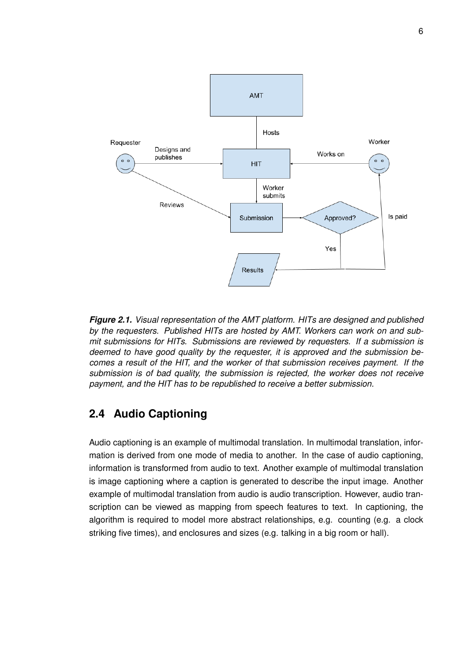<span id="page-12-1"></span>

*Figure 2.1. Visual representation of the AMT platform. HITs are designed and published by the requesters. Published HITs are hosted by AMT. Workers can work on and submit submissions for HITs. Submissions are reviewed by requesters. If a submission is deemed to have good quality by the requester, it is approved and the submission becomes a result of the HIT, and the worker of that submission receives payment. If the submission is of bad quality, the submission is rejected, the worker does not receive payment, and the HIT has to be republished to receive a better submission.*

#### **2.4 Audio Captioning**

<span id="page-12-0"></span>Audio captioning is an example of multimodal translation. In multimodal translation, information is derived from one mode of media to another. In the case of audio captioning, information is transformed from audio to text. Another example of multimodal translation is image captioning where a caption is generated to describe the input image. Another example of multimodal translation from audio is audio transcription. However, audio transcription can be viewed as mapping from speech features to text. In captioning, the algorithm is required to model more abstract relationships, e.g. counting (e.g. a clock striking five times), and enclosures and sizes (e.g. talking in a big room or hall).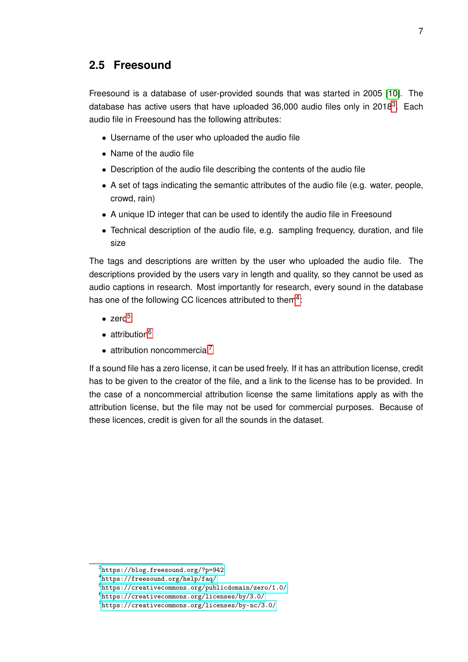#### **2.5 Freesound**

Freesound is a database of user-provided sounds that was started in 2005 [\[10\]](#page-24-6). The database has active users that have uploaded [3](#page-0-0)6,000 audio files only in 2018<sup>3</sup>. Each audio file in Freesound has the following attributes:

- Username of the user who uploaded the audio file
- Name of the audio file
- Description of the audio file describing the contents of the audio file
- A set of tags indicating the semantic attributes of the audio file (e.g. water, people, crowd, rain)
- A unique ID integer that can be used to identify the audio file in Freesound
- Technical description of the audio file, e.g. sampling frequency, duration, and file size

The tags and descriptions are written by the user who uploaded the audio file. The descriptions provided by the users vary in length and quality, so they cannot be used as audio captions in research. Most importantly for research, every sound in the database has one of the following CC licences attributed to them<sup>[4](#page-0-0)</sup>:

- $\bullet$  zero<sup>[5](#page-0-0)</sup>
- $\bullet$  attribution<sup>[6](#page-0-0)</sup>
- $\bullet$  attribution noncommercial<sup>[7](#page-0-0)</sup>

If a sound file has a zero license, it can be used freely. If it has an attribution license, credit has to be given to the creator of the file, and a link to the license has to be provided. In the case of a noncommercial attribution license the same limitations apply as with the attribution license, but the file may not be used for commercial purposes. Because of these licences, credit is given for all the sounds in the dataset.

<sup>3</sup> <https://blog.freesound.org/?p=942>

<sup>4</sup> <https://freesound.org/help/faq/>

<sup>5</sup> <https://creativecommons.org/publicdomain/zero/1.0/>

<sup>6</sup> <https://creativecommons.org/licenses/by/3.0/>

<sup>7</sup> <https://creativecommons.org/licenses/by-nc/3.0/>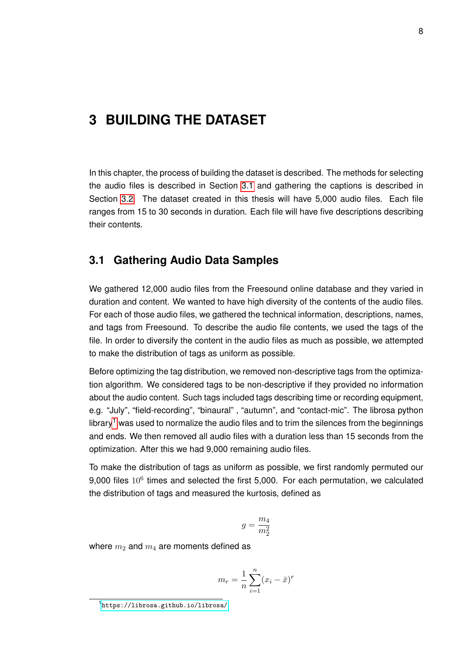### <span id="page-14-0"></span>**3 BUILDING THE DATASET**

In this chapter, the process of building the dataset is described. The methods for selecting the audio files is described in Section [3.1](#page-14-1) and gathering the captions is described in Section [3.2.](#page-16-0) The dataset created in this thesis will have 5,000 audio files. Each file ranges from 15 to 30 seconds in duration. Each file will have five descriptions describing their contents.

#### <span id="page-14-1"></span>**3.1 Gathering Audio Data Samples**

We gathered 12,000 audio files from the Freesound online database and they varied in duration and content. We wanted to have high diversity of the contents of the audio files. For each of those audio files, we gathered the technical information, descriptions, names, and tags from Freesound. To describe the audio file contents, we used the tags of the file. In order to diversify the content in the audio files as much as possible, we attempted to make the distribution of tags as uniform as possible.

Before optimizing the tag distribution, we removed non-descriptive tags from the optimization algorithm. We considered tags to be non-descriptive if they provided no information about the audio content. Such tags included tags describing time or recording equipment, e.g. "July", "field-recording", "binaural" , "autumn", and "contact-mic". The librosa python library<sup>[1](#page-0-0)</sup> was used to normalize the audio files and to trim the silences from the beginnings and ends. We then removed all audio files with a duration less than 15 seconds from the optimization. After this we had 9,000 remaining audio files.

To make the distribution of tags as uniform as possible, we first randomly permuted our 9,000 files  $10^6$  times and selected the first 5,000. For each permutation, we calculated the distribution of tags and measured the kurtosis, defined as

$$
g=\frac{m_4}{m_2^2}
$$

where  $m_2$  and  $m_4$  are moments defined as

$$
m_r = \frac{1}{n} \sum_{i=1}^{n} (x_i - \bar{x})^r
$$

<sup>1</sup> <https://librosa.github.io/librosa/>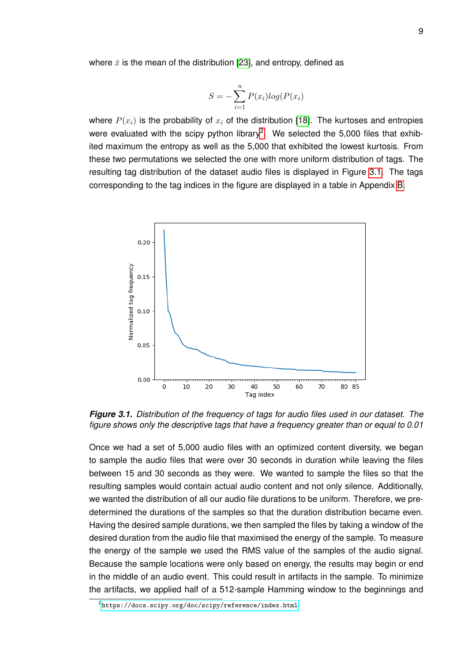where  $\bar{x}$  is the mean of the distribution [\[23\]](#page-26-0), and entropy, defined as

$$
S = -\sum_{i=1}^{n} P(x_i)log(P(x_i))
$$

where  $P(x_i)$  is the probability of  $x_i$  of the distribution [\[18\]](#page-25-10). The kurtoses and entropies were evaluated with the scipy python library<sup>[2](#page-0-0)</sup>. We selected the 5,000 files that exhibited maximum the entropy as well as the 5,000 that exhibited the lowest kurtosis. From these two permutations we selected the one with more uniform distribution of tags. The resulting tag distribution of the dataset audio files is displayed in Figure [3.1.](#page-15-0) The tags corresponding to the tag indices in the figure are displayed in a table in Appendix [B.](#page-28-0)

<span id="page-15-0"></span>

*Figure 3.1. Distribution of the frequency of tags for audio files used in our dataset. The figure shows only the descriptive tags that have a frequency greater than or equal to 0.01*

Once we had a set of 5,000 audio files with an optimized content diversity, we began to sample the audio files that were over 30 seconds in duration while leaving the files between 15 and 30 seconds as they were. We wanted to sample the files so that the resulting samples would contain actual audio content and not only silence. Additionally, we wanted the distribution of all our audio file durations to be uniform. Therefore, we predetermined the durations of the samples so that the duration distribution became even. Having the desired sample durations, we then sampled the files by taking a window of the desired duration from the audio file that maximised the energy of the sample. To measure the energy of the sample we used the RMS value of the samples of the audio signal. Because the sample locations were only based on energy, the results may begin or end in the middle of an audio event. This could result in artifacts in the sample. To minimize the artifacts, we applied half of a 512-sample Hamming window to the beginnings and

 $^2$ <https://docs.scipy.org/doc/scipy/reference/index.html>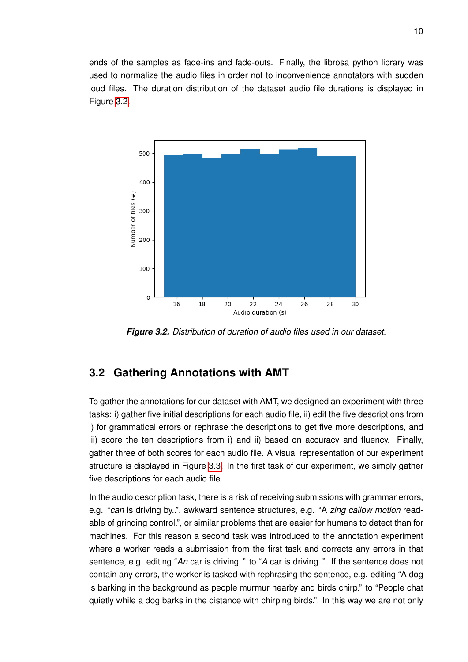ends of the samples as fade-ins and fade-outs. Finally, the librosa python library was used to normalize the audio files in order not to inconvenience annotators with sudden loud files. The duration distribution of the dataset audio file durations is displayed in Figure [3.2.](#page-16-1)

<span id="page-16-1"></span>

*Figure 3.2. Distribution of duration of audio files used in our dataset.*

#### <span id="page-16-0"></span>**3.2 Gathering Annotations with AMT**

To gather the annotations for our dataset with AMT, we designed an experiment with three tasks: i) gather five initial descriptions for each audio file, ii) edit the five descriptions from i) for grammatical errors or rephrase the descriptions to get five more descriptions, and iii) score the ten descriptions from i) and ii) based on accuracy and fluency. Finally, gather three of both scores for each audio file. A visual representation of our experiment structure is displayed in Figure [3.3.](#page-17-0) In the first task of our experiment, we simply gather five descriptions for each audio file.

In the audio description task, there is a risk of receiving submissions with grammar errors, e.g. "*can* is driving by..", awkward sentence structures, e.g. "A *zing callow motion* readable of grinding control.", or similar problems that are easier for humans to detect than for machines. For this reason a second task was introduced to the annotation experiment where a worker reads a submission from the first task and corrects any errors in that sentence, e.g. editing "*An* car is driving.." to "*A* car is driving..". If the sentence does not contain any errors, the worker is tasked with rephrasing the sentence, e.g. editing "A dog is barking in the background as people murmur nearby and birds chirp." to "People chat quietly while a dog barks in the distance with chirping birds.". In this way we are not only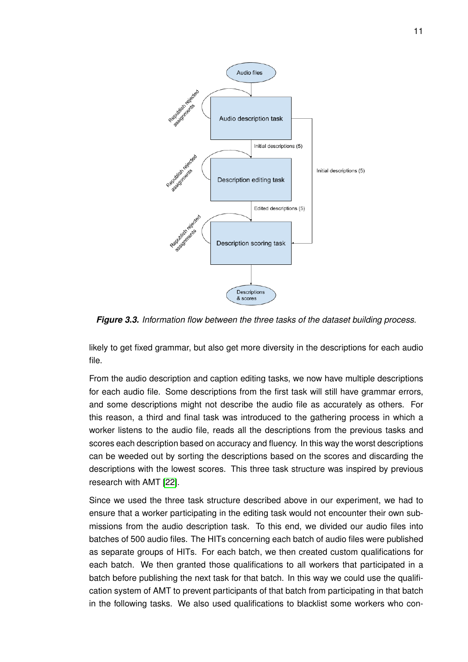<span id="page-17-0"></span>

*Figure 3.3. Information flow between the three tasks of the dataset building process.*

likely to get fixed grammar, but also get more diversity in the descriptions for each audio file.

From the audio description and caption editing tasks, we now have multiple descriptions for each audio file. Some descriptions from the first task will still have grammar errors, and some descriptions might not describe the audio file as accurately as others. For this reason, a third and final task was introduced to the gathering process in which a worker listens to the audio file, reads all the descriptions from the previous tasks and scores each description based on accuracy and fluency. In this way the worst descriptions can be weeded out by sorting the descriptions based on the scores and discarding the descriptions with the lowest scores. This three task structure was inspired by previous research with AMT [\[22\]](#page-25-8).

Since we used the three task structure described above in our experiment, we had to ensure that a worker participating in the editing task would not encounter their own submissions from the audio description task. To this end, we divided our audio files into batches of 500 audio files. The HITs concerning each batch of audio files were published as separate groups of HITs. For each batch, we then created custom qualifications for each batch. We then granted those qualifications to all workers that participated in a batch before publishing the next task for that batch. In this way we could use the qualification system of AMT to prevent participants of that batch from participating in that batch in the following tasks. We also used qualifications to blacklist some workers who con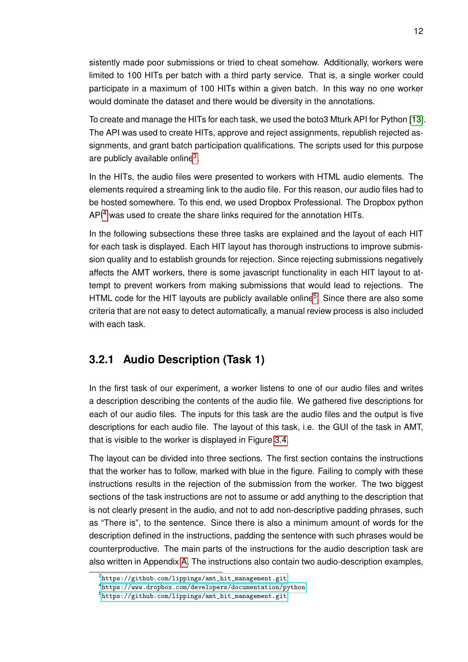sistently made poor submissions or tried to cheat somehow. Additionally, workers were limited to 100 HITs per batch with a third party service. That is, a single worker could participate in a maximum of 100 HITs within a given batch. In this way no one worker would dominate the dataset and there would be diversity in the annotations.

To create and manage the HITs for each task, we used the boto3 Mturk API for Python [\[13\]](#page-25-11). The API was used to create HITs, approve and reject assignments, republish rejected assignments, and grant batch participation qualifications. The scripts used for this purpose are publicly available online<sup>[3](#page-0-0)</sup>.

In the HITs, the audio files were presented to workers with HTML audio elements. The elements required a streaming link to the audio file. For this reason, our audio files had to be hosted somewhere. To this end, we used Dropbox Professional. The Dropbox python API<sup>[4](#page-0-0)</sup> was used to create the share links required for the annotation HITs.

In the following subsections these three tasks are explained and the layout of each HIT for each task is displayed. Each HIT layout has thorough instructions to improve submission quality and to establish grounds for rejection. Since rejecting submissions negatively affects the AMT workers, there is some javascript functionality in each HIT layout to attempt to prevent workers from making submissions that would lead to rejections. The HTML code for the HIT layouts are publicly available online<sup>[5](#page-0-0)</sup>. Since there are also some criteria that are not easy to detect automatically, a manual review process is also included with each task.

#### <span id="page-18-0"></span>**3.2.1 Audio Description (Task 1)**

In the first task of our experiment, a worker listens to one of our audio files and writes a description describing the contents of the audio file. We gathered five descriptions for each of our audio files. The inputs for this task are the audio files and the output is five descriptions for each audio file. The layout of this task, i.e. the GUI of the task in AMT, that is visible to the worker is displayed in Figure [3.4.](#page-19-1)

The layout can be divided into three sections. The first section contains the instructions that the worker has to follow, marked with blue in the figure. Failing to comply with these instructions results in the rejection of the submission from the worker. The two biggest sections of the task instructions are not to assume or add anything to the description that is not clearly present in the audio, and not to add non-descriptive padding phrases, such as "There is", to the sentence. Since there is also a minimum amount of words for the description defined in the instructions, padding the sentence with such phrases would be counterproductive. The main parts of the instructions for the audio description task are also written in Appendix [A.](#page-27-0) The instructions also contain two audio-description examples,

<sup>3</sup> [https://github.com/lippings/amt\\_hit\\_management.git](https://github.com/lippings/amt_hit_management.git)

<sup>4</sup> <https://www.dropbox.com/developers/documentation/python>

<sup>5</sup> [https://github.com/lippings/amt\\_hit\\_management.git](https://github.com/lippings/amt_hit_management.git)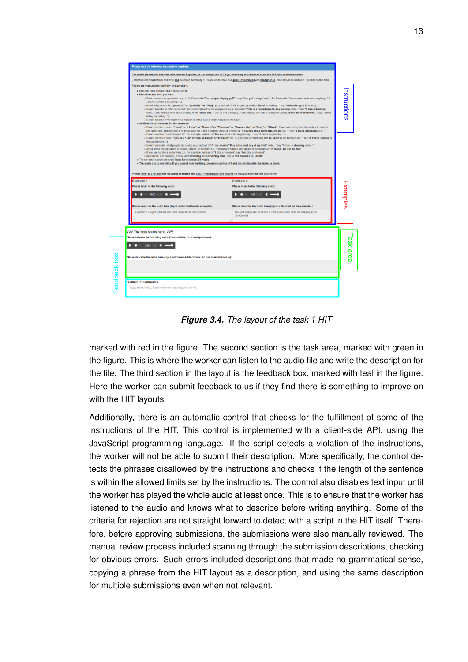<span id="page-19-1"></span>

*Figure 3.4. The layout of the task 1 HIT*

marked with red in the figure. The second section is the task area, marked with green in the figure. This is where the worker can listen to the audio file and write the description for the file. The third section in the layout is the feedback box, marked with teal in the figure. Here the worker can submit feedback to us if they find there is something to improve on with the HIT layouts.

<span id="page-19-0"></span>Additionally, there is an automatic control that checks for the fulfillment of some of the instructions of the HIT. This control is implemented with a client-side API, using the JavaScript programming language. If the script detects a violation of the instructions, the worker will not be able to submit their description. More specifically, the control detects the phrases disallowed by the instructions and checks if the length of the sentence is within the allowed limits set by the instructions. The control also disables text input until the worker has played the whole audio at least once. This is to ensure that the worker has listened to the audio and knows what to describe before writing anything. Some of the criteria for rejection are not straight forward to detect with a script in the HIT itself. Therefore, before approving submissions, the submissions were also manually reviewed. The manual review process included scanning through the submission descriptions, checking for obvious errors. Such errors included descriptions that made no grammatical sense, copying a phrase from the HIT layout as a description, and using the same description for multiple submissions even when not relevant.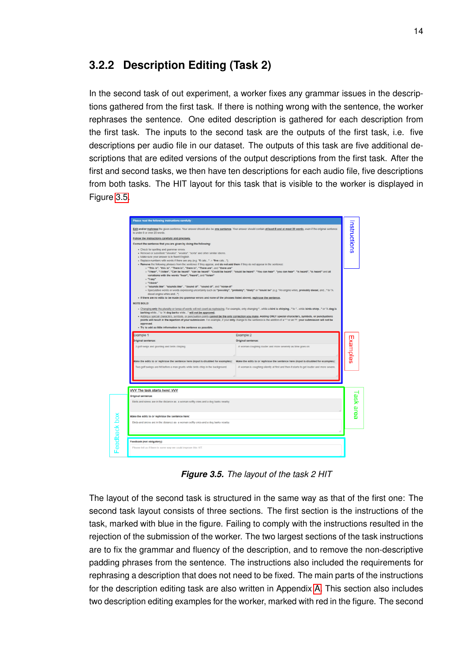#### **3.2.2 Description Editing (Task 2)**

In the second task of out experiment, a worker fixes any grammar issues in the descriptions gathered from the first task. If there is nothing wrong with the sentence, the worker rephrases the sentence. One edited description is gathered for each description from the first task. The inputs to the second task are the outputs of the first task, i.e. five descriptions per audio file in our dataset. The outputs of this task are five additional descriptions that are edited versions of the output descriptions from the first task. After the first and second tasks, we then have ten descriptions for each audio file, five descriptions from both tasks. The HIT layout for this task that is visible to the worker is displayed in Figure [3.5.](#page-20-0)

<span id="page-20-0"></span>

*Figure 3.5. The layout of the task 2 HIT*

The layout of the second task is structured in the same way as that of the first one: The second task layout consists of three sections. The first section is the instructions of the task, marked with blue in the figure. Failing to comply with the instructions resulted in the rejection of the submission of the worker. The two largest sections of the task instructions are to fix the grammar and fluency of the description, and to remove the non-descriptive padding phrases from the sentence. The instructions also included the requirements for rephrasing a description that does not need to be fixed. The main parts of the instructions for the description editing task are also written in Appendix [A.](#page-27-0) This section also includes two description editing examples for the worker, marked with red in the figure. The second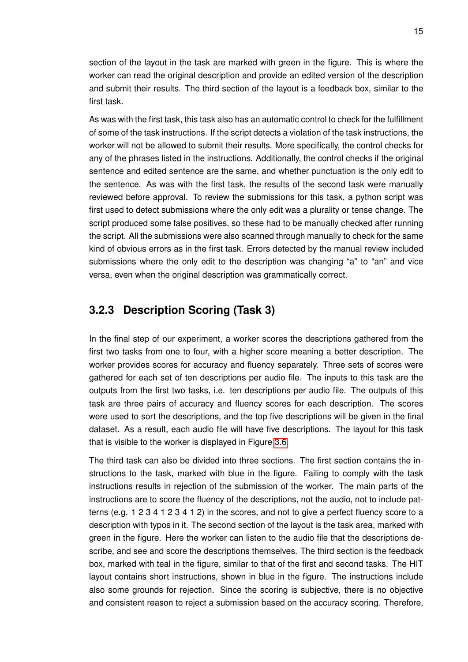section of the layout in the task are marked with green in the figure. This is where the worker can read the original description and provide an edited version of the description and submit their results. The third section of the layout is a feedback box, similar to the first task.

As was with the first task, this task also has an automatic control to check for the fulfillment of some of the task instructions. If the script detects a violation of the task instructions, the worker will not be allowed to submit their results. More specifically, the control checks for any of the phrases listed in the instructions. Additionally, the control checks if the original sentence and edited sentence are the same, and whether punctuation is the only edit to the sentence. As was with the first task, the results of the second task were manually reviewed before approval. To review the submissions for this task, a python script was first used to detect submissions where the only edit was a plurality or tense change. The script produced some false positives, so these had to be manually checked after running the script. All the submissions were also scanned through manually to check for the same kind of obvious errors as in the first task. Errors detected by the manual review included submissions where the only edit to the description was changing "a" to "an" and vice versa, even when the original description was grammatically correct.

#### <span id="page-21-0"></span>**3.2.3 Description Scoring (Task 3)**

In the final step of our experiment, a worker scores the descriptions gathered from the first two tasks from one to four, with a higher score meaning a better description. The worker provides scores for accuracy and fluency separately. Three sets of scores were gathered for each set of ten descriptions per audio file. The inputs to this task are the outputs from the first two tasks, i.e. ten descriptions per audio file. The outputs of this task are three pairs of accuracy and fluency scores for each description. The scores were used to sort the descriptions, and the top five descriptions will be given in the final dataset. As a result, each audio file will have five descriptions. The layout for this task that is visible to the worker is displayed in Figure [3.6.](#page-22-0)

The third task can also be divided into three sections. The first section contains the instructions to the task, marked with blue in the figure. Failing to comply with the task instructions results in rejection of the submission of the worker. The main parts of the instructions are to score the fluency of the descriptions, not the audio, not to include patterns (e.g. 1 2 3 4 1 2 3 4 1 2) in the scores, and not to give a perfect fluency score to a description with typos in it. The second section of the layout is the task area, marked with green in the figure. Here the worker can listen to the audio file that the descriptions describe, and see and score the descriptions themselves. The third section is the feedback box, marked with teal in the figure, similar to that of the first and second tasks. The HIT layout contains short instructions, shown in blue in the figure. The instructions include also some grounds for rejection. Since the scoring is subjective, there is no objective and consistent reason to reject a submission based on the accuracy scoring. Therefore,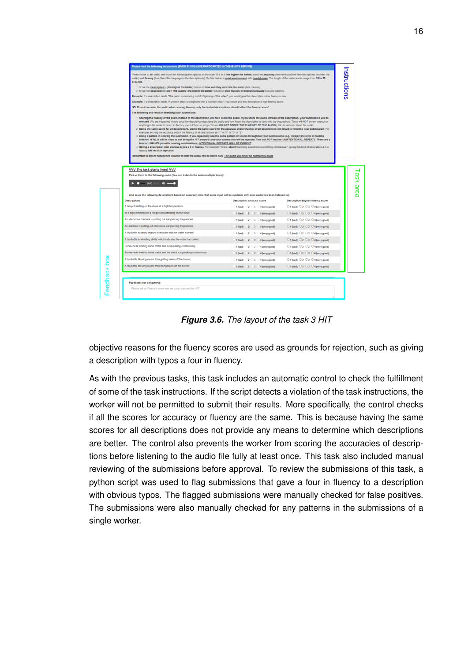<span id="page-22-0"></span>

|                                                                                                                                                                                                                                            |                                                                                                                                                                                                                                                                                                                                                                                                                                                                                                                                                                                                                                                                                                                                                                                                                                                                                                                                                                                                                                                                                                                                                                                                         | Please read the following instructions (EVEN IF YOU HAVE PARTICIPATED IN THESE HITS BEFORE) |                                                                       | Instructions |  |  |  |
|--------------------------------------------------------------------------------------------------------------------------------------------------------------------------------------------------------------------------------------------|---------------------------------------------------------------------------------------------------------------------------------------------------------------------------------------------------------------------------------------------------------------------------------------------------------------------------------------------------------------------------------------------------------------------------------------------------------------------------------------------------------------------------------------------------------------------------------------------------------------------------------------------------------------------------------------------------------------------------------------------------------------------------------------------------------------------------------------------------------------------------------------------------------------------------------------------------------------------------------------------------------------------------------------------------------------------------------------------------------------------------------------------------------------------------------------------------------|---------------------------------------------------------------------------------------------|-----------------------------------------------------------------------|--------------|--|--|--|
|                                                                                                                                                                                                                                            | Please listen to the audio and score the following descriptions on the scale of 1 to 4 (the higher the better) based on accuracy (how well you think the descriptions describe the<br>audio) and fluency (how fluent the language in the description is). Do this task in a guiet environment with headphones. The length of the audio tracks range from 15 to 30<br>seconds.                                                                                                                                                                                                                                                                                                                                                                                                                                                                                                                                                                                                                                                                                                                                                                                                                           |                                                                                             |                                                                       |              |  |  |  |
| 1. Score the descriptions (the higher the better) based on how well they describe the audio (first column).<br>2. Score the descriptions NOT THE AUDIO (the higher the better) based on their fluency in English language (second column). |                                                                                                                                                                                                                                                                                                                                                                                                                                                                                                                                                                                                                                                                                                                                                                                                                                                                                                                                                                                                                                                                                                                                                                                                         |                                                                                             |                                                                       |              |  |  |  |
|                                                                                                                                                                                                                                            | Example: If a description reads "The perso is swimmi g in rh3 b3ginning of this video", you would give this description a low fluency score.<br>Example: If a description reads "A person plays a xylophone with a wooden stick.", you would give this description a high fluency score.                                                                                                                                                                                                                                                                                                                                                                                                                                                                                                                                                                                                                                                                                                                                                                                                                                                                                                                |                                                                                             |                                                                       |              |  |  |  |
|                                                                                                                                                                                                                                            |                                                                                                                                                                                                                                                                                                                                                                                                                                                                                                                                                                                                                                                                                                                                                                                                                                                                                                                                                                                                                                                                                                                                                                                                         |                                                                                             |                                                                       |              |  |  |  |
|                                                                                                                                                                                                                                            | NB: Do not consider the audio when scoring fluency, only the textual descriptions should affect the fluency score!                                                                                                                                                                                                                                                                                                                                                                                                                                                                                                                                                                                                                                                                                                                                                                                                                                                                                                                                                                                                                                                                                      |                                                                                             |                                                                       |              |  |  |  |
|                                                                                                                                                                                                                                            | The following will result in rejecting your submission:                                                                                                                                                                                                                                                                                                                                                                                                                                                                                                                                                                                                                                                                                                                                                                                                                                                                                                                                                                                                                                                                                                                                                 |                                                                                             |                                                                       |              |  |  |  |
|                                                                                                                                                                                                                                            | anything in the audio to score its fluency (even if there is, neglect it and DO NOT SCORE THE FLUENCY OF THE AUDIO). We do not care about the audio.<br>2. Using the same score for all descriptions. Using the same score for the accuracy and/or fluency of all descriptions will result in rejecting your submission. For<br>example, scoring the accuracy and/or the fluency of all descriptions as "1" or "4" or "3" or "2".<br>3. Using a pattern in scoring the submision. If you repeatedly use the same pattern of scores throughout your submissions (e.g. 1(2(3)4)1(2)3)4)1(2) in multiple<br>different HITs), it will be seen as not doing the HIT properly and your submission will be rejected. This will NOT include UNINTENTIONAL REPEATS. There are a<br>total of 1,048,576 possible scoring combinations, INTENTIONAL REPEATS WILL BE EVIDENT.<br>4. Giving a description with obvious typos a 4 in fluency. For example: "A low, ablent humming sound from something mechanical.", giving this kind of description a 4 in<br>fluency will result in rejection<br>Remember to adjust headphone volume so that the audio can be heard fully. The audio will never be completely blank. |                                                                                             |                                                                       |              |  |  |  |
|                                                                                                                                                                                                                                            | VVV The task starts here! VVV<br>Please listen to the following audio (You can listen to the audio multiple times):<br>$\bullet$ 0.00 / 0.25 $\bullet$ $\bullet$                                                                                                                                                                                                                                                                                                                                                                                                                                                                                                                                                                                                                                                                                                                                                                                                                                                                                                                                                                                                                                        |                                                                                             |                                                                       |              |  |  |  |
|                                                                                                                                                                                                                                            | And score the following descriptions based on accuracy (note that some input will be available only once audio has been listened to):                                                                                                                                                                                                                                                                                                                                                                                                                                                                                                                                                                                                                                                                                                                                                                                                                                                                                                                                                                                                                                                                   |                                                                                             |                                                                       |              |  |  |  |
|                                                                                                                                                                                                                                            | <b>Descriptions</b><br>A tea pot wistling on the stove at a high temperature.                                                                                                                                                                                                                                                                                                                                                                                                                                                                                                                                                                                                                                                                                                                                                                                                                                                                                                                                                                                                                                                                                                                           | Description accuracy score                                                                  | <b>Description English fluency score</b>                              |              |  |  |  |
|                                                                                                                                                                                                                                            |                                                                                                                                                                                                                                                                                                                                                                                                                                                                                                                                                                                                                                                                                                                                                                                                                                                                                                                                                                                                                                                                                                                                                                                                         | 01 (bad) 2 3 4 (very good)                                                                  | $\bigcirc$ 1 (bad) $\bigcirc$ 2 $\bigcirc$ 3 $\bigcirc$ 4 (very good) |              |  |  |  |
|                                                                                                                                                                                                                                            | At a high temperature a tea pot was whistling on the stove.                                                                                                                                                                                                                                                                                                                                                                                                                                                                                                                                                                                                                                                                                                                                                                                                                                                                                                                                                                                                                                                                                                                                             | 1 (bad) 2 3 4 (very good)                                                                   | $\bigcirc$ 1 (bad) $\bigcirc$ 2 $\bigcirc$ 3 $\bigcirc$ 4 (very good) |              |  |  |  |
|                                                                                                                                                                                                                                            | An obnoxious machine is putting out ear-piercing frequencies.                                                                                                                                                                                                                                                                                                                                                                                                                                                                                                                                                                                                                                                                                                                                                                                                                                                                                                                                                                                                                                                                                                                                           | 01 (bad) 02 03 04 (very good)                                                               | ○1 (bad) ○2 ○3 ○4 (very good)                                         |              |  |  |  |
|                                                                                                                                                                                                                                            | An machine is putting out obnoxious ear-piercing frequencies.                                                                                                                                                                                                                                                                                                                                                                                                                                                                                                                                                                                                                                                                                                                                                                                                                                                                                                                                                                                                                                                                                                                                           | 1 (bad) 2 3 4 (very good)                                                                   | $\bigcirc$ 1 (bad) $\bigcirc$ 2 $\bigcirc$ 3 $\bigcirc$ 4 (very good) |              |  |  |  |
|                                                                                                                                                                                                                                            | A tea kettle is singly sharply to indicate that the water is ready.                                                                                                                                                                                                                                                                                                                                                                                                                                                                                                                                                                                                                                                                                                                                                                                                                                                                                                                                                                                                                                                                                                                                     | $-1$ (bad) $-2$ $-3$ $-4$ (very good)                                                       | ○1 (bad) ○2 ○3 ○4 (very good)                                         |              |  |  |  |
|                                                                                                                                                                                                                                            | A tea kettle is whistling shrilly which indicates the water has boiled.                                                                                                                                                                                                                                                                                                                                                                                                                                                                                                                                                                                                                                                                                                                                                                                                                                                                                                                                                                                                                                                                                                                                 | 1 (bad) 2 3 4 (very good)                                                                   | $\bigcirc$ 1 (bad) $\bigcirc$ 2 $\bigcirc$ 3 $\bigcirc$ 4 (very good) |              |  |  |  |
|                                                                                                                                                                                                                                            | Someone is welding some metal and is squeaking continuously.                                                                                                                                                                                                                                                                                                                                                                                                                                                                                                                                                                                                                                                                                                                                                                                                                                                                                                                                                                                                                                                                                                                                            | 01 (bad) 02 03 04 (very good)                                                               | $\bigcirc$ 1 (bad) $\bigcirc$ 2 $\bigcirc$ 3 $\bigcirc$ 4 (very good) |              |  |  |  |
|                                                                                                                                                                                                                                            | Someone is welding some metal and the metal is squeaking continuously.                                                                                                                                                                                                                                                                                                                                                                                                                                                                                                                                                                                                                                                                                                                                                                                                                                                                                                                                                                                                                                                                                                                                  | 1 (bad) 2 3 4 (very good)                                                                   | $01$ (bad) $020304$ (very good)                                       |              |  |  |  |
|                                                                                                                                                                                                                                            | A tea kettle blowing steam then getting taken off the burner.                                                                                                                                                                                                                                                                                                                                                                                                                                                                                                                                                                                                                                                                                                                                                                                                                                                                                                                                                                                                                                                                                                                                           | 01 (bad) 02 03 04 (very good)                                                               | ○1 (bad) ○2 ○3 ○4 (very good)                                         |              |  |  |  |
|                                                                                                                                                                                                                                            | A tea kettle blowing steam then being taken off the burner.                                                                                                                                                                                                                                                                                                                                                                                                                                                                                                                                                                                                                                                                                                                                                                                                                                                                                                                                                                                                                                                                                                                                             | 1 (bad) 2 3 4 (very good)                                                                   | $01$ (bad) $02$ $03$ $04$ (very good)                                 |              |  |  |  |
|                                                                                                                                                                                                                                            | Feedback (not obligatory):                                                                                                                                                                                                                                                                                                                                                                                                                                                                                                                                                                                                                                                                                                                                                                                                                                                                                                                                                                                                                                                                                                                                                                              |                                                                                             |                                                                       |              |  |  |  |

*Figure 3.6. The layout of the task 3 HIT*

objective reasons for the fluency scores are used as grounds for rejection, such as giving a description with typos a four in fluency.

As with the previous tasks, this task includes an automatic control to check the fulfillment of some of the task instructions. If the script detects a violation of the task instructions, the worker will not be permitted to submit their results. More specifically, the control checks if all the scores for accuracy or fluency are the same. This is because having the same scores for all descriptions does not provide any means to determine which descriptions are better. The control also prevents the worker from scoring the accuracies of descriptions before listening to the audio file fully at least once. This task also included manual reviewing of the submissions before approval. To review the submissions of this task, a python script was used to flag submissions that gave a four in fluency to a description with obvious typos. The flagged submissions were manually checked for false positives. The submissions were also manually checked for any patterns in the submissions of a single worker.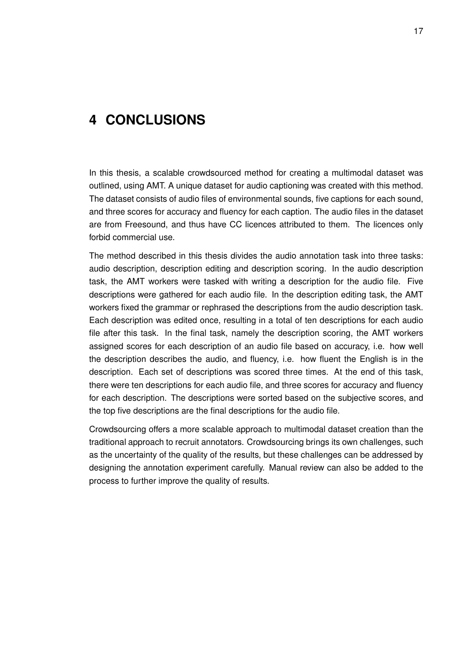### <span id="page-23-0"></span>**4 CONCLUSIONS**

In this thesis, a scalable crowdsourced method for creating a multimodal dataset was outlined, using AMT. A unique dataset for audio captioning was created with this method. The dataset consists of audio files of environmental sounds, five captions for each sound, and three scores for accuracy and fluency for each caption. The audio files in the dataset are from Freesound, and thus have CC licences attributed to them. The licences only forbid commercial use.

The method described in this thesis divides the audio annotation task into three tasks: audio description, description editing and description scoring. In the audio description task, the AMT workers were tasked with writing a description for the audio file. Five descriptions were gathered for each audio file. In the description editing task, the AMT workers fixed the grammar or rephrased the descriptions from the audio description task. Each description was edited once, resulting in a total of ten descriptions for each audio file after this task. In the final task, namely the description scoring, the AMT workers assigned scores for each description of an audio file based on accuracy, i.e. how well the description describes the audio, and fluency, i.e. how fluent the English is in the description. Each set of descriptions was scored three times. At the end of this task, there were ten descriptions for each audio file, and three scores for accuracy and fluency for each description. The descriptions were sorted based on the subjective scores, and the top five descriptions are the final descriptions for the audio file.

Crowdsourcing offers a more scalable approach to multimodal dataset creation than the traditional approach to recruit annotators. Crowdsourcing brings its own challenges, such as the uncertainty of the quality of the results, but these challenges can be addressed by designing the annotation experiment carefully. Manual review can also be added to the process to further improve the quality of results.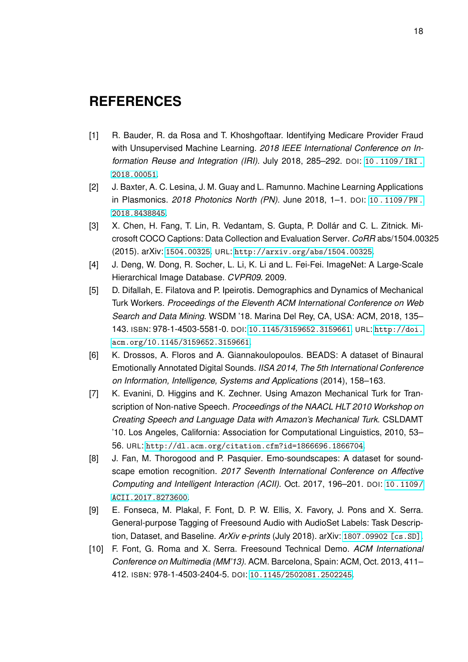### <span id="page-24-0"></span>**REFERENCES**

- <span id="page-24-1"></span>[1] R. Bauder, R. da Rosa and T. Khoshgoftaar. Identifying Medicare Provider Fraud with Unsupervised Machine Learning. *2018 IEEE International Conference on Information Reuse and Integration (IRI)*. July 2018, 285–292. DOI: [10 . 1109 / IRI .](https://doi.org/10.1109/IRI.2018.00051) [2018.00051](https://doi.org/10.1109/IRI.2018.00051).
- <span id="page-24-2"></span>[2] J. Baxter, A. C. Lesina, J. M. Guay and L. Ramunno. Machine Learning Applications in Plasmonics. *2018 Photonics North (PN)*. June 2018, 1–1. DOI: [10 . 1109 / PN .](https://doi.org/10.1109/PN.2018.8438845) [2018.8438845](https://doi.org/10.1109/PN.2018.8438845).
- <span id="page-24-4"></span>[3] X. Chen, H. Fang, T. Lin, R. Vedantam, S. Gupta, P. Dollár and C. L. Zitnick. Microsoft COCO Captions: Data Collection and Evaluation Server. *CoRR* abs/1504.00325 (2015). arXiv: [1504.00325](http://arxiv.org/abs/1504.00325). URL: <http://arxiv.org/abs/1504.00325>.
- <span id="page-24-3"></span>[4] J. Deng, W. Dong, R. Socher, L. Li, K. Li and L. Fei-Fei. ImageNet: A Large-Scale Hierarchical Image Database. *CVPR09*. 2009.
- <span id="page-24-10"></span>[5] D. Difallah, E. Filatova and P. Ipeirotis. Demographics and Dynamics of Mechanical Turk Workers. *Proceedings of the Eleventh ACM International Conference on Web Search and Data Mining*. WSDM '18. Marina Del Rey, CA, USA: ACM, 2018, 135– 143. ISBN: 978-1-4503-5581-0. DOI: [10.1145/3159652.3159661](https://doi.org/10.1145/3159652.3159661). URL: [http://doi.](http://doi.acm.org/10.1145/3159652.3159661) [acm.org/10.1145/3159652.3159661](http://doi.acm.org/10.1145/3159652.3159661).
- <span id="page-24-9"></span>[6] K. Drossos, A. Floros and A. Giannakoulopoulos. BEADS: A dataset of Binaural Emotionally Annotated Digital Sounds. *IISA 2014, The 5th International Conference on Information, Intelligence, Systems and Applications* (2014), 158–163.
- <span id="page-24-5"></span>[7] K. Evanini, D. Higgins and K. Zechner. Using Amazon Mechanical Turk for Transcription of Non-native Speech. *Proceedings of the NAACL HLT 2010 Workshop on Creating Speech and Language Data with Amazon's Mechanical Turk*. CSLDAMT '10. Los Angeles, California: Association for Computational Linguistics, 2010, 53– 56. URL: <http://dl.acm.org/citation.cfm?id=1866696.1866704>.
- <span id="page-24-7"></span>[8] J. Fan, M. Thorogood and P. Pasquier. Emo-soundscapes: A dataset for soundscape emotion recognition. *2017 Seventh International Conference on Affective Computing and Intelligent Interaction (ACII)*. Oct. 2017, 196–201. DOI: [10.1109/](https://doi.org/10.1109/ACII.2017.8273600) [ACII.2017.8273600](https://doi.org/10.1109/ACII.2017.8273600).
- <span id="page-24-8"></span>[9] E. Fonseca, M. Plakal, F. Font, D. P. W. Ellis, X. Favory, J. Pons and X. Serra. General-purpose Tagging of Freesound Audio with AudioSet Labels: Task Description, Dataset, and Baseline. *ArXiv e-prints* (July 2018). arXiv: [1807.09902 \[cs.SD\]](http://arxiv.org/abs/1807.09902).
- <span id="page-24-6"></span>[10] F. Font, G. Roma and X. Serra. Freesound Technical Demo. *ACM International Conference on Multimedia (MM'13)*. ACM. Barcelona, Spain: ACM, Oct. 2013, 411– 412. ISBN: 978-1-4503-2404-5. DOI: [10.1145/2502081.2502245](https://doi.org/10.1145/2502081.2502245).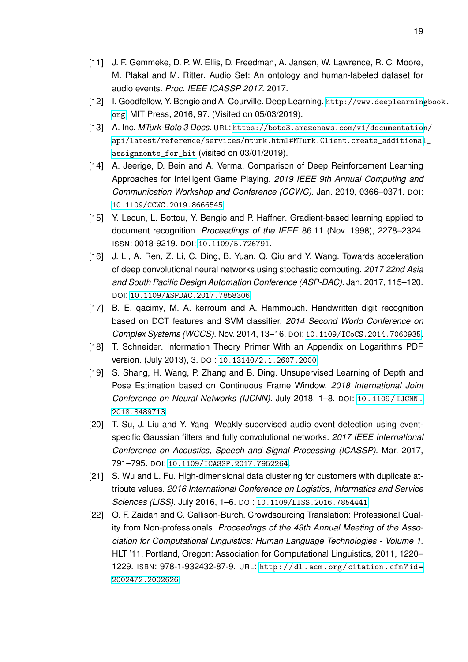- <span id="page-25-7"></span>[11] J. F. Gemmeke, D. P. W. Ellis, D. Freedman, A. Jansen, W. Lawrence, R. C. Moore, M. Plakal and M. Ritter. Audio Set: An ontology and human-labeled dataset for audio events. *Proc. IEEE ICASSP 2017*. 2017.
- <span id="page-25-0"></span>[12] I. Goodfellow, Y. Bengio and A. Courville. Deep Learning. [http://www.deeplearning](http://www.deeplearningbook.org)book. [org](http://www.deeplearningbook.org). MIT Press, 2016, 97. (Visited on 05/03/2019).
- <span id="page-25-11"></span>[13] A. Inc. *MTurk-Boto 3 Docs*. URL: [https://boto3.amazonaws.com/v1/documentation](https://boto3.amazonaws.com/v1/documentation/api/latest/reference/services/mturk.html#MTurk.Client.create_additional_assignments_for_hit)/ [api/latest/reference/services/mturk.html#MTurk.Client.create\\_additional](https://boto3.amazonaws.com/v1/documentation/api/latest/reference/services/mturk.html#MTurk.Client.create_additional_assignments_for_hit)\_ [assignments\\_for\\_hit](https://boto3.amazonaws.com/v1/documentation/api/latest/reference/services/mturk.html#MTurk.Client.create_additional_assignments_for_hit) (visited on 03/01/2019).
- <span id="page-25-1"></span>[14] A. Jeerige, D. Bein and A. Verma. Comparison of Deep Reinforcement Learning Approaches for Intelligent Game Playing. *2019 IEEE 9th Annual Computing and Communication Workshop and Conference (CCWC)*. Jan. 2019, 0366–0371. DOI: [10.1109/CCWC.2019.8666545](https://doi.org/10.1109/CCWC.2019.8666545).
- <span id="page-25-6"></span>[15] Y. Lecun, L. Bottou, Y. Bengio and P. Haffner. Gradient-based learning applied to document recognition. *Proceedings of the IEEE* 86.11 (Nov. 1998), 2278–2324. ISSN: 0018-9219. DOI: [10.1109/5.726791](https://doi.org/10.1109/5.726791).
- <span id="page-25-4"></span>[16] J. Li, A. Ren, Z. Li, C. Ding, B. Yuan, Q. Qiu and Y. Wang. Towards acceleration of deep convolutional neural networks using stochastic computing. *2017 22nd Asia and South Pacific Design Automation Conference (ASP-DAC)*. Jan. 2017, 115–120. DOI: [10.1109/ASPDAC.2017.7858306](https://doi.org/10.1109/ASPDAC.2017.7858306).
- <span id="page-25-5"></span>[17] B. E. qacimy, M. A. kerroum and A. Hammouch. Handwritten digit recognition based on DCT features and SVM classifier. *2014 Second World Conference on Complex Systems (WCCS)*. Nov. 2014, 13–16. DOI: [10.1109/ICoCS.2014.7060935](https://doi.org/10.1109/ICoCS.2014.7060935).
- <span id="page-25-10"></span>[18] T. Schneider. Information Theory Primer With an Appendix on Logarithms PDF version. (July 2013), 3. DOI: [10.13140/2.1.2607.2000](https://doi.org/10.13140/2.1.2607.2000).
- <span id="page-25-3"></span>[19] S. Shang, H. Wang, P. Zhang and B. Ding. Unsupervised Learning of Depth and Pose Estimation based on Continuous Frame Window. *2018 International Joint Conference on Neural Networks (IJCNN)*. July 2018, 1–8. DOI: [10.1109/IJCNN.](https://doi.org/10.1109/IJCNN.2018.8489713) [2018.8489713](https://doi.org/10.1109/IJCNN.2018.8489713).
- <span id="page-25-9"></span>[20] T. Su, J. Liu and Y. Yang. Weakly-supervised audio event detection using eventspecific Gaussian filters and fully convolutional networks. *2017 IEEE International Conference on Acoustics, Speech and Signal Processing (ICASSP)*. Mar. 2017, 791–795. DOI: [10.1109/ICASSP.2017.7952264](https://doi.org/10.1109/ICASSP.2017.7952264).
- <span id="page-25-2"></span>[21] S. Wu and L. Fu. High-dimensional data clustering for customers with duplicate attribute values. *2016 International Conference on Logistics, Informatics and Service Sciences (LISS)*. July 2016, 1–6. DOI: [10.1109/LISS.2016.7854441](https://doi.org/10.1109/LISS.2016.7854441).
- <span id="page-25-8"></span>[22] O. F. Zaidan and C. Callison-Burch. Crowdsourcing Translation: Professional Quality from Non-professionals. *Proceedings of the 49th Annual Meeting of the Association for Computational Linguistics: Human Language Technologies - Volume 1*. HLT '11. Portland, Oregon: Association for Computational Linguistics, 2011, 1220– 1229. ISBN: 978-1-932432-87-9. URL: [http://dl.acm.org/citation.cfm?id=](http://dl.acm.org/citation.cfm?id=2002472.2002626) [2002472.2002626](http://dl.acm.org/citation.cfm?id=2002472.2002626).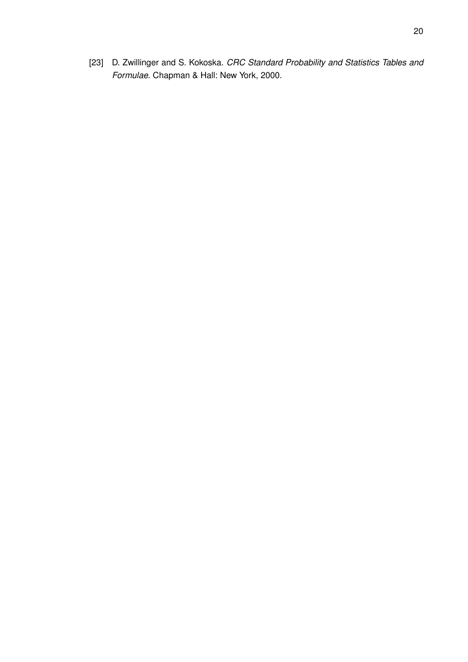<span id="page-26-0"></span>[23] D. Zwillinger and S. Kokoska. *CRC Standard Probability and Statistics Tables and Formulae*. Chapman & Hall: New York, 2000.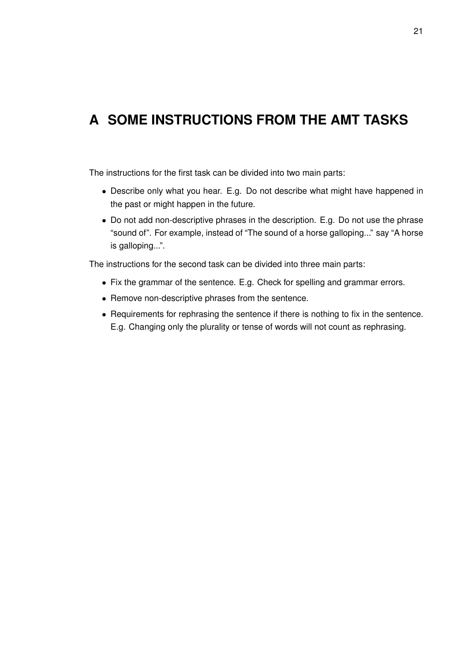## <span id="page-27-0"></span>**A SOME INSTRUCTIONS FROM THE AMT TASKS**

The instructions for the first task can be divided into two main parts:

- Describe only what you hear. E.g. Do not describe what might have happened in the past or might happen in the future.
- Do not add non-descriptive phrases in the description. E.g. Do not use the phrase "sound of". For example, instead of "The sound of a horse galloping..." say "A horse is galloping...".

The instructions for the second task can be divided into three main parts:

- Fix the grammar of the sentence. E.g. Check for spelling and grammar errors.
- Remove non-descriptive phrases from the sentence.
- Requirements for rephrasing the sentence if there is nothing to fix in the sentence. E.g. Changing only the plurality or tense of words will not count as rephrasing.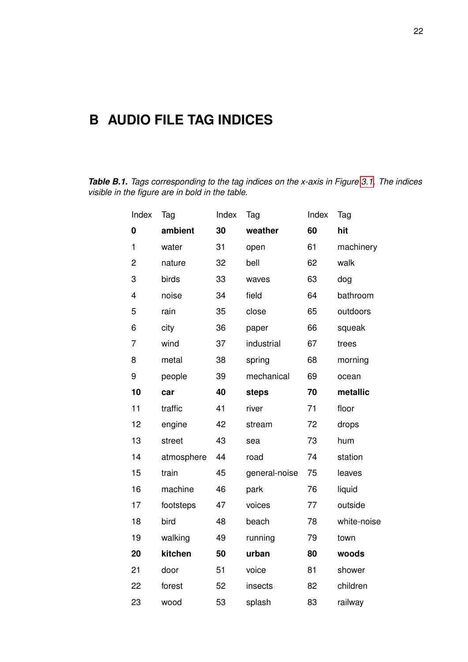## <span id="page-28-0"></span>**B AUDIO FILE TAG INDICES**

<span id="page-28-1"></span>*Table B.1. Tags corresponding to the tag indices on the x-axis in Figure [3.1.](#page-15-0) The indices visible in the figure are in bold in the table.*

| Index        | Tag        | Index | Tag           | Index | Tag         |
|--------------|------------|-------|---------------|-------|-------------|
| 0            | ambient    | 30    | weather       | 60    | hit         |
| $\mathbf{1}$ | water      | 31    | open          | 61    | machinery   |
| 2            | nature     | 32    | bell          | 62    | walk        |
| 3            | birds      | 33    | waves         | 63    | dog         |
| 4            | noise      | 34    | field         | 64    | bathroom    |
| 5            | rain       | 35    | close         | 65    | outdoors    |
| 6            | city       | 36    | paper         | 66    | squeak      |
| 7            | wind       | 37    | industrial    | 67    | trees       |
| 8            | metal      | 38    | spring        | 68    | morning     |
| 9            | people     | 39    | mechanical    | 69    | ocean       |
| 10           | car        | 40    | steps         | 70    | metallic    |
| 11           | traffic    | 41    | river         | 71    | floor       |
| 12           | engine     | 42    | stream        | 72    | drops       |
| 13           | street     | 43    | sea           | 73    | hum         |
| 14           | atmosphere | 44    | road          | 74    | station     |
| 15           | train      | 45    | general-noise | 75    | leaves      |
| 16           | machine    | 46    | park          | 76    | liquid      |
| 17           | footsteps  | 47    | voices        | 77    | outside     |
| 18           | bird       | 48    | beach         | 78    | white-noise |
| 19           | walking    | 49    | running       | 79    | town        |
| 20           | kitchen    | 50    | urban         | 80    | woods       |
| 21           | door       | 51    | voice         | 81    | shower      |
| 22           | forest     | 52    | insects       | 82    | children    |
| 23           | wood       | 53    | splash        | 83    | railway     |